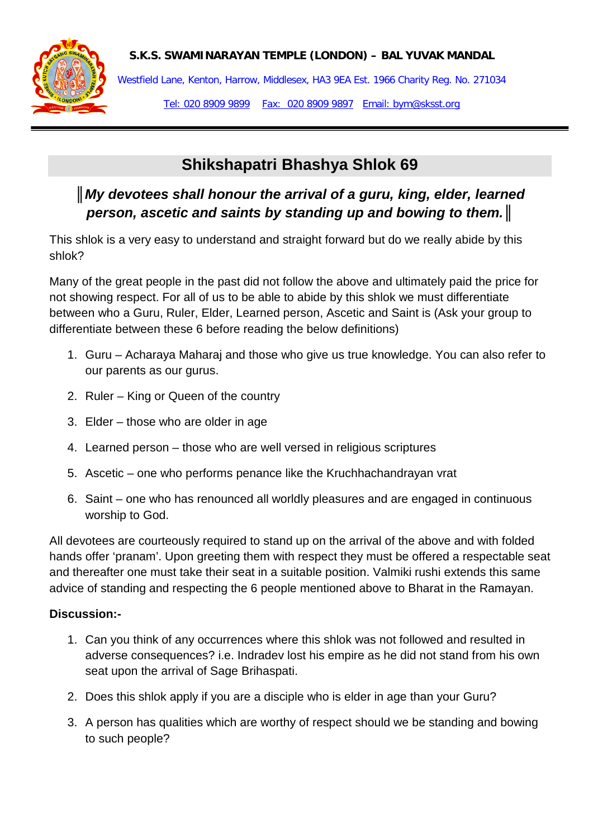



Westfield Lane, Kenton, Harrow, Middlesex, HA3 9EA Est. 1966 Charity Reg. No. 271034

Tel: 020 8909 9899 Fax: 020 8909 9897 Email: bym@sksst.org

# **Shikshapatri Bhashya Shlok 69**

## *║My devotees shall honour the arrival of a guru, king, elder, learned person, ascetic and saints by standing up and bowing to them.║*

This shlok is a very easy to understand and straight forward but do we really abide by this shlok?

Many of the great people in the past did not follow the above and ultimately paid the price for not showing respect. For all of us to be able to abide by this shlok we must differentiate between who a Guru, Ruler, Elder, Learned person, Ascetic and Saint is (Ask your group to differentiate between these 6 before reading the below definitions)

- 1. Guru Acharaya Maharaj and those who give us true knowledge. You can also refer to our parents as our gurus.
- 2. Ruler King or Queen of the country
- 3. Elder those who are older in age
- 4. Learned person those who are well versed in religious scriptures
- 5. Ascetic one who performs penance like the Kruchhachandrayan vrat
- 6. Saint one who has renounced all worldly pleasures and are engaged in continuous worship to God.

All devotees are courteously required to stand up on the arrival of the above and with folded hands offer 'pranam'. Upon greeting them with respect they must be offered a respectable seat and thereafter one must take their seat in a suitable position. Valmiki rushi extends this same advice of standing and respecting the 6 people mentioned above to Bharat in the Ramayan.

#### **Discussion:-**

- 1. Can you think of any occurrences where this shlok was not followed and resulted in adverse consequences? i.e. Indradev lost his empire as he did not stand from his own seat upon the arrival of Sage Brihaspati.
- 2. Does this shlok apply if you are a disciple who is elder in age than your Guru?
- 3. A person has qualities which are worthy of respect should we be standing and bowing to such people?